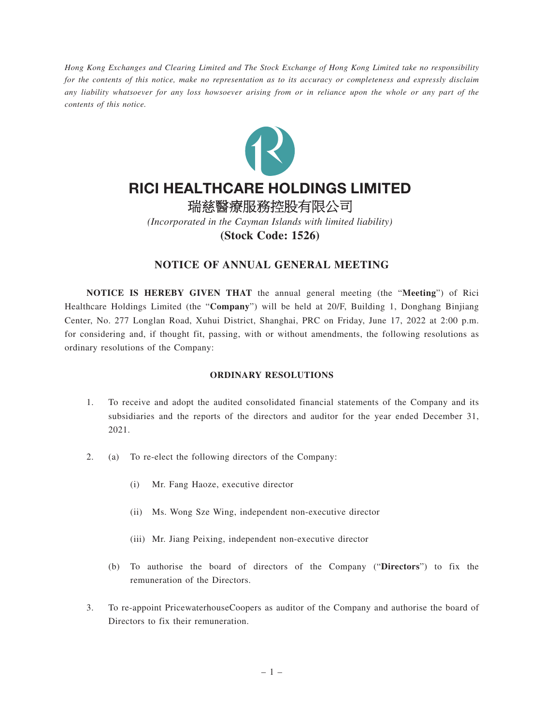*Hong Kong Exchanges and Clearing Limited and The Stock Exchange of Hong Kong Limited take no responsibility for the contents of this notice, make no representation as to its accuracy or completeness and expressly disclaim any liability whatsoever for any loss howsoever arising from or in reliance upon the whole or any part of the contents of this notice.*



# RICI HEALTHCARE HOLDINGS LIMITED

瑞慈醫療服務控股有限公司 *(Incorporated in the Cayman Islands with limited liability)* **(Stock Code: 1526)**

## **NOTICE OF ANNUAL GENERAL MEETING**

**NOTICE IS HEREBY GIVEN THAT** the annual general meeting (the "**Meeting**") of Rici Healthcare Holdings Limited (the "**Company**") will be held at 20/F, Building 1, Donghang Binjiang Center, No. 277 Longlan Road, Xuhui District, Shanghai, PRC on Friday, June 17, 2022 at 2:00 p.m. for considering and, if thought fit, passing, with or without amendments, the following resolutions as ordinary resolutions of the Company:

#### **ORDINARY RESOLUTIONS**

- 1. To receive and adopt the audited consolidated financial statements of the Company and its subsidiaries and the reports of the directors and auditor for the year ended December 31, 2021.
- 2. (a) To re-elect the following directors of the Company:
	- (i) Mr. Fang Haoze, executive director
	- (ii) Ms. Wong Sze Wing, independent non-executive director
	- (iii) Mr. Jiang Peixing, independent non-executive director
	- (b) To authorise the board of directors of the Company ("**Directors**") to fix the remuneration of the Directors.
- 3. To re-appoint PricewaterhouseCoopers as auditor of the Company and authorise the board of Directors to fix their remuneration.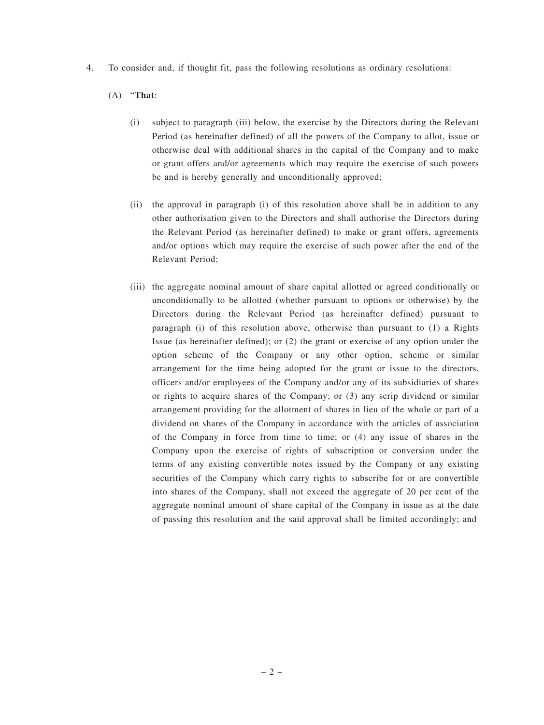4. To consider and, if thought fit, pass the following resolutions as ordinary resolutions:

### (A) "**That**:

- (i) subject to paragraph (iii) below, the exercise by the Directors during the Relevant Period (as hereinafter defined) of all the powers of the Company to allot, issue or otherwise deal with additional shares in the capital of the Company and to make or grant offers and/or agreements which may require the exercise of such powers be and is hereby generally and unconditionally approved;
- (ii) the approval in paragraph (i) of this resolution above shall be in addition to any other authorisation given to the Directors and shall authorise the Directors during the Relevant Period (as hereinafter defined) to make or grant offers, agreements and/or options which may require the exercise of such power after the end of the Relevant Period;
- (iii) the aggregate nominal amount of share capital allotted or agreed conditionally or unconditionally to be allotted (whether pursuant to options or otherwise) by the Directors during the Relevant Period (as hereinafter defined) pursuant to paragraph (i) of this resolution above, otherwise than pursuant to (1) a Rights Issue (as hereinafter defined); or (2) the grant or exercise of any option under the option scheme of the Company or any other option, scheme or similar arrangement for the time being adopted for the grant or issue to the directors, officers and/or employees of the Company and/or any of its subsidiaries of shares or rights to acquire shares of the Company; or (3) any scrip dividend or similar arrangement providing for the allotment of shares in lieu of the whole or part of a dividend on shares of the Company in accordance with the articles of association of the Company in force from time to time; or (4) any issue of shares in the Company upon the exercise of rights of subscription or conversion under the terms of any existing convertible notes issued by the Company or any existing securities of the Company which carry rights to subscribe for or are convertible into shares of the Company, shall not exceed the aggregate of 20 per cent of the aggregate nominal amount of share capital of the Company in issue as at the date of passing this resolution and the said approval shall be limited accordingly; and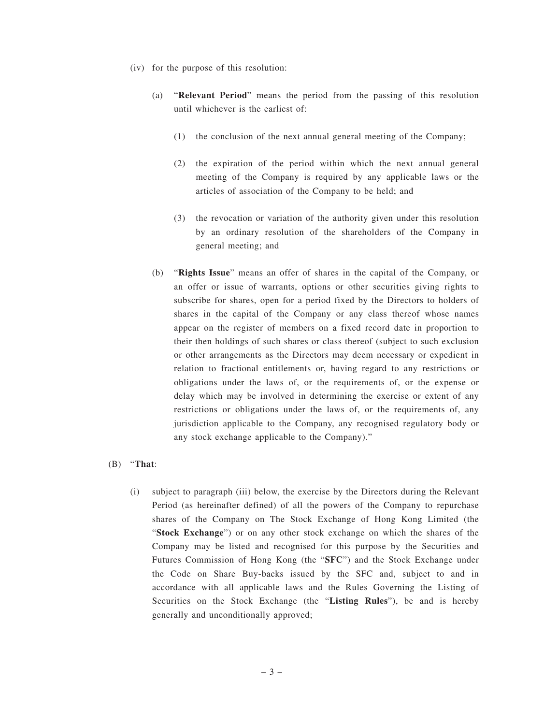- (iv) for the purpose of this resolution:
	- (a) "**Relevant Period**" means the period from the passing of this resolution until whichever is the earliest of:
		- (1) the conclusion of the next annual general meeting of the Company;
		- (2) the expiration of the period within which the next annual general meeting of the Company is required by any applicable laws or the articles of association of the Company to be held; and
		- (3) the revocation or variation of the authority given under this resolution by an ordinary resolution of the shareholders of the Company in general meeting; and
	- (b) "**Rights Issue**" means an offer of shares in the capital of the Company, or an offer or issue of warrants, options or other securities giving rights to subscribe for shares, open for a period fixed by the Directors to holders of shares in the capital of the Company or any class thereof whose names appear on the register of members on a fixed record date in proportion to their then holdings of such shares or class thereof (subject to such exclusion or other arrangements as the Directors may deem necessary or expedient in relation to fractional entitlements or, having regard to any restrictions or obligations under the laws of, or the requirements of, or the expense or delay which may be involved in determining the exercise or extent of any restrictions or obligations under the laws of, or the requirements of, any jurisdiction applicable to the Company, any recognised regulatory body or any stock exchange applicable to the Company)."

### (B) "**That**:

(i) subject to paragraph (iii) below, the exercise by the Directors during the Relevant Period (as hereinafter defined) of all the powers of the Company to repurchase shares of the Company on The Stock Exchange of Hong Kong Limited (the "**Stock Exchange**") or on any other stock exchange on which the shares of the Company may be listed and recognised for this purpose by the Securities and Futures Commission of Hong Kong (the "**SFC**") and the Stock Exchange under the Code on Share Buy-backs issued by the SFC and, subject to and in accordance with all applicable laws and the Rules Governing the Listing of Securities on the Stock Exchange (the "**Listing Rules**"), be and is hereby generally and unconditionally approved;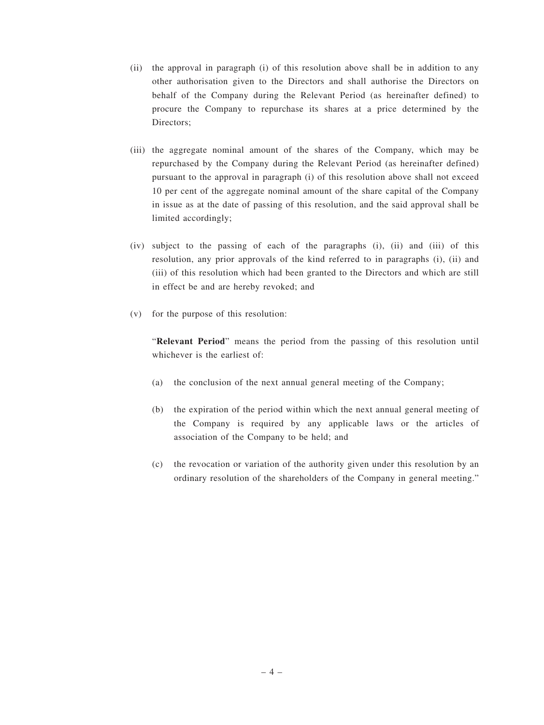- (ii) the approval in paragraph (i) of this resolution above shall be in addition to any other authorisation given to the Directors and shall authorise the Directors on behalf of the Company during the Relevant Period (as hereinafter defined) to procure the Company to repurchase its shares at a price determined by the Directors;
- (iii) the aggregate nominal amount of the shares of the Company, which may be repurchased by the Company during the Relevant Period (as hereinafter defined) pursuant to the approval in paragraph (i) of this resolution above shall not exceed 10 per cent of the aggregate nominal amount of the share capital of the Company in issue as at the date of passing of this resolution, and the said approval shall be limited accordingly;
- (iv) subject to the passing of each of the paragraphs (i), (ii) and (iii) of this resolution, any prior approvals of the kind referred to in paragraphs (i), (ii) and (iii) of this resolution which had been granted to the Directors and which are still in effect be and are hereby revoked; and
- (v) for the purpose of this resolution:

"**Relevant Period**" means the period from the passing of this resolution until whichever is the earliest of:

- (a) the conclusion of the next annual general meeting of the Company;
- (b) the expiration of the period within which the next annual general meeting of the Company is required by any applicable laws or the articles of association of the Company to be held; and
- (c) the revocation or variation of the authority given under this resolution by an ordinary resolution of the shareholders of the Company in general meeting."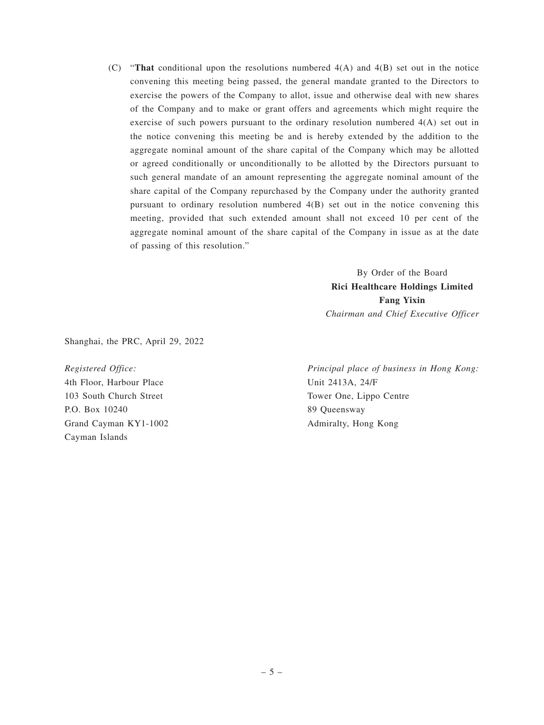(C) "**That** conditional upon the resolutions numbered 4(A) and 4(B) set out in the notice convening this meeting being passed, the general mandate granted to the Directors to exercise the powers of the Company to allot, issue and otherwise deal with new shares of the Company and to make or grant offers and agreements which might require the exercise of such powers pursuant to the ordinary resolution numbered 4(A) set out in the notice convening this meeting be and is hereby extended by the addition to the aggregate nominal amount of the share capital of the Company which may be allotted or agreed conditionally or unconditionally to be allotted by the Directors pursuant to such general mandate of an amount representing the aggregate nominal amount of the share capital of the Company repurchased by the Company under the authority granted pursuant to ordinary resolution numbered 4(B) set out in the notice convening this meeting, provided that such extended amount shall not exceed 10 per cent of the aggregate nominal amount of the share capital of the Company in issue as at the date of passing of this resolution."

> By Order of the Board **Rici Healthcare Holdings Limited Fang Yixin** *Chairman and Chief Executive Officer*

Shanghai, the PRC, April 29, 2022

*Registered Office:* 4th Floor, Harbour Place 103 South Church Street P.O. Box 10240 Grand Cayman KY1-1002 Cayman Islands

*Principal place of business in Hong Kong:* Unit 2413A, 24/F Tower One, Lippo Centre 89 Queensway Admiralty, Hong Kong